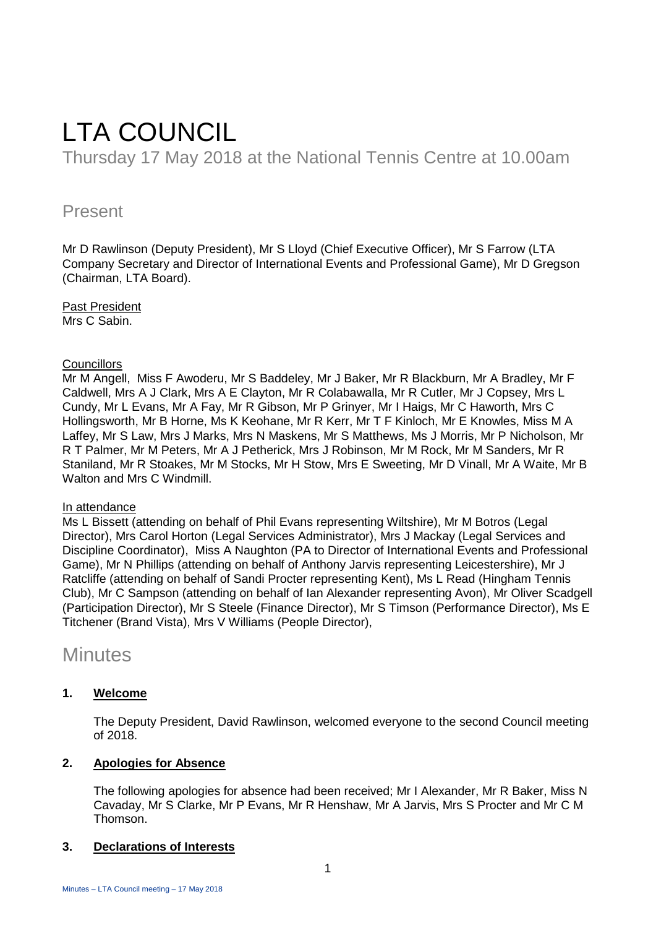# LTA COUNCIL Thursday 17 May 2018 at the National Tennis Centre at 10.00am

## Present

Mr D Rawlinson (Deputy President), Mr S Lloyd (Chief Executive Officer), Mr S Farrow (LTA Company Secretary and Director of International Events and Professional Game), Mr D Gregson (Chairman, LTA Board).

Past President Mrs C Sabin.

## **Councillors**

Mr M Angell, Miss F Awoderu, Mr S Baddeley, Mr J Baker, Mr R Blackburn, Mr A Bradley, Mr F Caldwell, Mrs A J Clark, Mrs A E Clayton, Mr R Colabawalla, Mr R Cutler, Mr J Copsey, Mrs L Cundy, Mr L Evans, Mr A Fay, Mr R Gibson, Mr P Grinyer, Mr I Haigs, Mr C Haworth, Mrs C Hollingsworth, Mr B Horne, Ms K Keohane, Mr R Kerr, Mr T F Kinloch, Mr E Knowles, Miss M A Laffey, Mr S Law, Mrs J Marks, Mrs N Maskens, Mr S Matthews, Ms J Morris, Mr P Nicholson, Mr R T Palmer, Mr M Peters, Mr A J Petherick, Mrs J Robinson, Mr M Rock, Mr M Sanders, Mr R Staniland, Mr R Stoakes, Mr M Stocks, Mr H Stow, Mrs E Sweeting, Mr D Vinall, Mr A Waite, Mr B Walton and Mrs C Windmill.

## In attendance

Ms L Bissett (attending on behalf of Phil Evans representing Wiltshire), Mr M Botros (Legal Director), Mrs Carol Horton (Legal Services Administrator), Mrs J Mackay (Legal Services and Discipline Coordinator), Miss A Naughton (PA to Director of International Events and Professional Game), Mr N Phillips (attending on behalf of Anthony Jarvis representing Leicestershire), Mr J Ratcliffe (attending on behalf of Sandi Procter representing Kent), Ms L Read (Hingham Tennis Club), Mr C Sampson (attending on behalf of Ian Alexander representing Avon), Mr Oliver Scadgell (Participation Director), Mr S Steele (Finance Director), Mr S Timson (Performance Director), Ms E Titchener (Brand Vista), Mrs V Williams (People Director),

# **Minutes**

## **1. Welcome**

The Deputy President, David Rawlinson, welcomed everyone to the second Council meeting of 2018.

## **2. Apologies for Absence**

The following apologies for absence had been received; Mr I Alexander, Mr R Baker, Miss N Cavaday, Mr S Clarke, Mr P Evans, Mr R Henshaw, Mr A Jarvis, Mrs S Procter and Mr C M Thomson.

## **3. Declarations of Interests**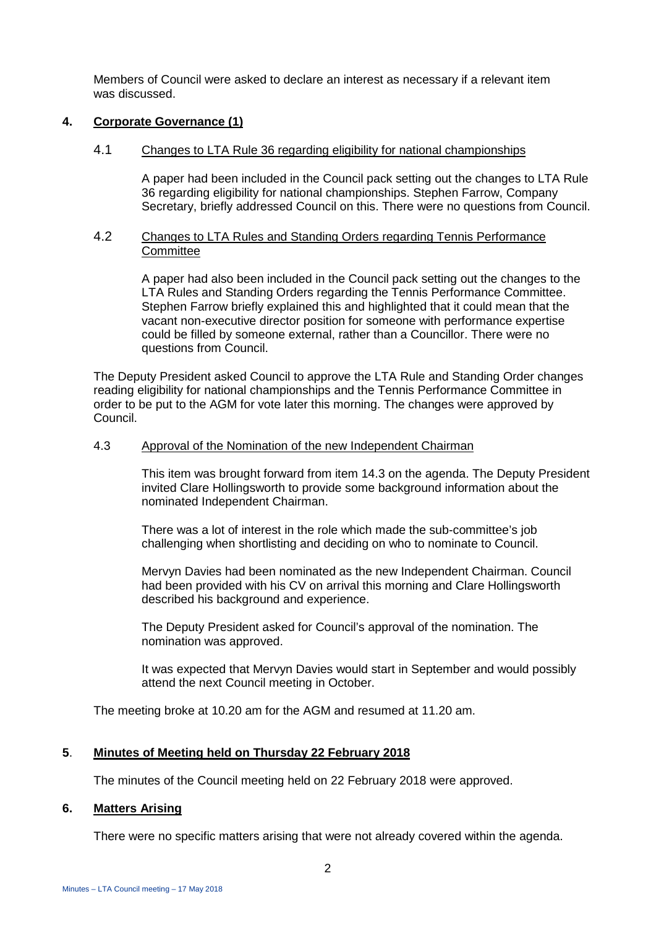Members of Council were asked to declare an interest as necessary if a relevant item was discussed.

## **4. Corporate Governance (1)**

## 4.1 Changes to LTA Rule 36 regarding eligibility for national championships

A paper had been included in the Council pack setting out the changes to LTA Rule 36 regarding eligibility for national championships. Stephen Farrow, Company Secretary, briefly addressed Council on this. There were no questions from Council.

## 4.2 Changes to LTA Rules and Standing Orders regarding Tennis Performance **Committee**

A paper had also been included in the Council pack setting out the changes to the LTA Rules and Standing Orders regarding the Tennis Performance Committee. Stephen Farrow briefly explained this and highlighted that it could mean that the vacant non-executive director position for someone with performance expertise could be filled by someone external, rather than a Councillor. There were no questions from Council.

The Deputy President asked Council to approve the LTA Rule and Standing Order changes reading eligibility for national championships and the Tennis Performance Committee in order to be put to the AGM for vote later this morning. The changes were approved by Council.

## 4.3 Approval of the Nomination of the new Independent Chairman

This item was brought forward from item 14.3 on the agenda. The Deputy President invited Clare Hollingsworth to provide some background information about the nominated Independent Chairman.

There was a lot of interest in the role which made the sub-committee's job challenging when shortlisting and deciding on who to nominate to Council.

Mervyn Davies had been nominated as the new Independent Chairman. Council had been provided with his CV on arrival this morning and Clare Hollingsworth described his background and experience.

The Deputy President asked for Council's approval of the nomination. The nomination was approved.

It was expected that Mervyn Davies would start in September and would possibly attend the next Council meeting in October.

The meeting broke at 10.20 am for the AGM and resumed at 11.20 am.

## **5**. **Minutes of Meeting held on Thursday 22 February 2018**

The minutes of the Council meeting held on 22 February 2018 were approved.

#### **6. Matters Arising**

There were no specific matters arising that were not already covered within the agenda.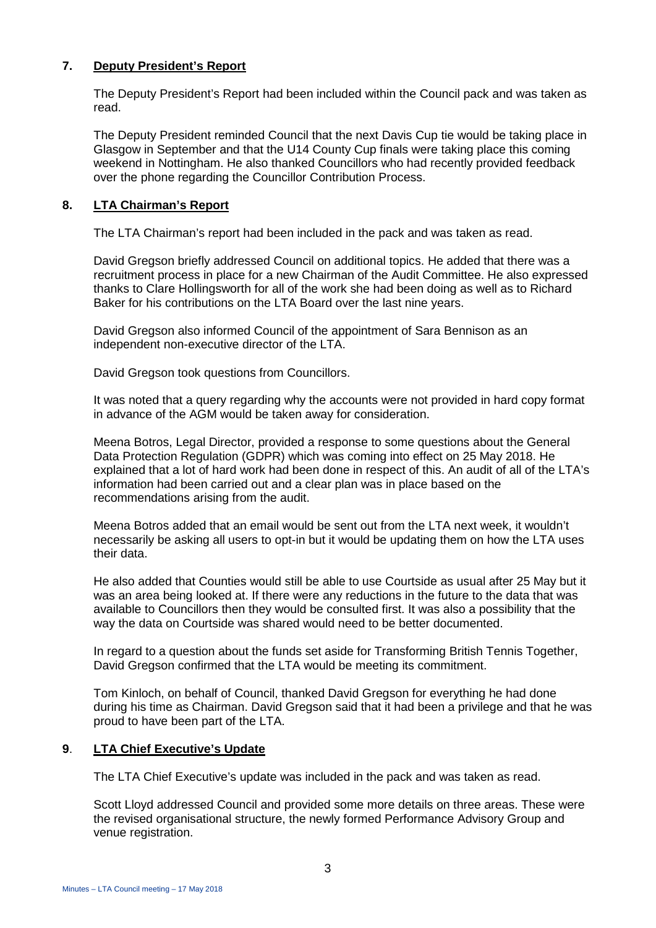## **7. Deputy President's Report**

The Deputy President's Report had been included within the Council pack and was taken as read.

The Deputy President reminded Council that the next Davis Cup tie would be taking place in Glasgow in September and that the U14 County Cup finals were taking place this coming weekend in Nottingham. He also thanked Councillors who had recently provided feedback over the phone regarding the Councillor Contribution Process.

## **8. LTA Chairman's Report**

The LTA Chairman's report had been included in the pack and was taken as read.

David Gregson briefly addressed Council on additional topics. He added that there was a recruitment process in place for a new Chairman of the Audit Committee. He also expressed thanks to Clare Hollingsworth for all of the work she had been doing as well as to Richard Baker for his contributions on the LTA Board over the last nine years.

David Gregson also informed Council of the appointment of Sara Bennison as an independent non-executive director of the LTA.

David Gregson took questions from Councillors.

It was noted that a query regarding why the accounts were not provided in hard copy format in advance of the AGM would be taken away for consideration.

Meena Botros, Legal Director, provided a response to some questions about the General Data Protection Regulation (GDPR) which was coming into effect on 25 May 2018. He explained that a lot of hard work had been done in respect of this. An audit of all of the LTA's information had been carried out and a clear plan was in place based on the recommendations arising from the audit.

Meena Botros added that an email would be sent out from the LTA next week, it wouldn't necessarily be asking all users to opt-in but it would be updating them on how the LTA uses their data.

He also added that Counties would still be able to use Courtside as usual after 25 May but it was an area being looked at. If there were any reductions in the future to the data that was available to Councillors then they would be consulted first. It was also a possibility that the way the data on Courtside was shared would need to be better documented.

In regard to a question about the funds set aside for Transforming British Tennis Together, David Gregson confirmed that the LTA would be meeting its commitment.

Tom Kinloch, on behalf of Council, thanked David Gregson for everything he had done during his time as Chairman. David Gregson said that it had been a privilege and that he was proud to have been part of the LTA.

## **9**. **LTA Chief Executive's Update**

The LTA Chief Executive's update was included in the pack and was taken as read.

Scott Lloyd addressed Council and provided some more details on three areas. These were the revised organisational structure, the newly formed Performance Advisory Group and venue registration.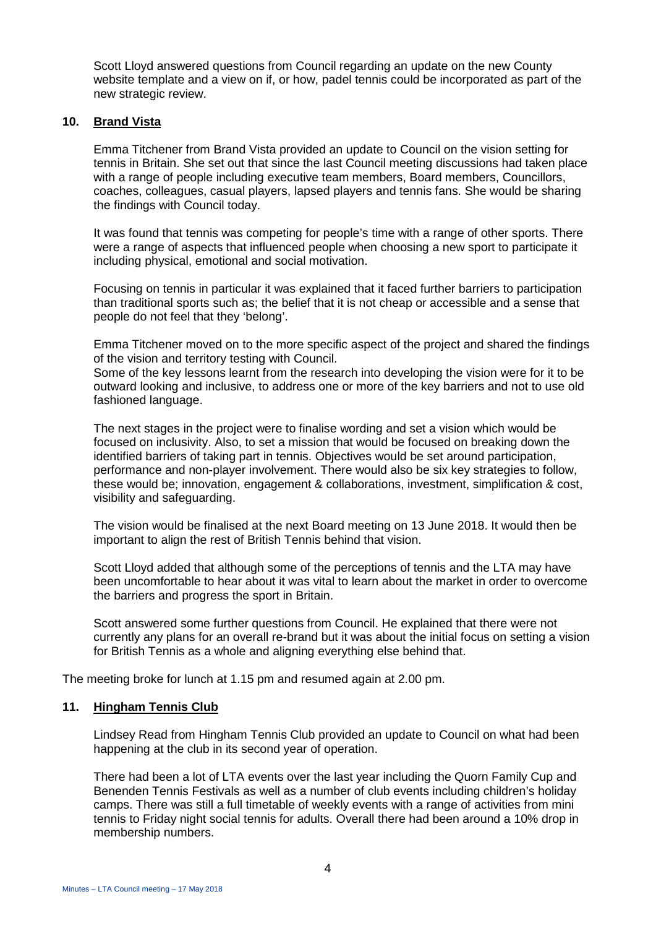Scott Lloyd answered questions from Council regarding an update on the new County website template and a view on if, or how, padel tennis could be incorporated as part of the new strategic review.

## **10. Brand Vista**

Emma Titchener from Brand Vista provided an update to Council on the vision setting for tennis in Britain. She set out that since the last Council meeting discussions had taken place with a range of people including executive team members, Board members, Councillors, coaches, colleagues, casual players, lapsed players and tennis fans. She would be sharing the findings with Council today.

It was found that tennis was competing for people's time with a range of other sports. There were a range of aspects that influenced people when choosing a new sport to participate it including physical, emotional and social motivation.

Focusing on tennis in particular it was explained that it faced further barriers to participation than traditional sports such as; the belief that it is not cheap or accessible and a sense that people do not feel that they 'belong'.

Emma Titchener moved on to the more specific aspect of the project and shared the findings of the vision and territory testing with Council.

Some of the key lessons learnt from the research into developing the vision were for it to be outward looking and inclusive, to address one or more of the key barriers and not to use old fashioned language.

The next stages in the project were to finalise wording and set a vision which would be focused on inclusivity. Also, to set a mission that would be focused on breaking down the identified barriers of taking part in tennis. Objectives would be set around participation, performance and non-player involvement. There would also be six key strategies to follow, these would be; innovation, engagement & collaborations, investment, simplification & cost, visibility and safeguarding.

The vision would be finalised at the next Board meeting on 13 June 2018. It would then be important to align the rest of British Tennis behind that vision.

Scott Lloyd added that although some of the perceptions of tennis and the LTA may have been uncomfortable to hear about it was vital to learn about the market in order to overcome the barriers and progress the sport in Britain.

Scott answered some further questions from Council. He explained that there were not currently any plans for an overall re-brand but it was about the initial focus on setting a vision for British Tennis as a whole and aligning everything else behind that.

The meeting broke for lunch at 1.15 pm and resumed again at 2.00 pm.

#### **11. Hingham Tennis Club**

Lindsey Read from Hingham Tennis Club provided an update to Council on what had been happening at the club in its second year of operation.

There had been a lot of LTA events over the last year including the Quorn Family Cup and Benenden Tennis Festivals as well as a number of club events including children's holiday camps. There was still a full timetable of weekly events with a range of activities from mini tennis to Friday night social tennis for adults. Overall there had been around a 10% drop in membership numbers.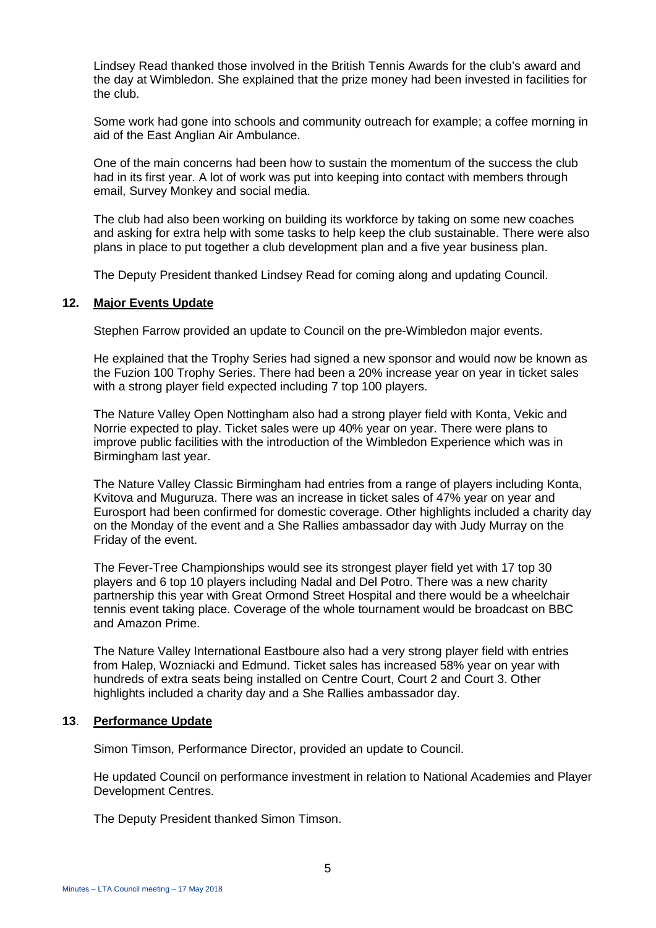Lindsey Read thanked those involved in the British Tennis Awards for the club's award and the day at Wimbledon. She explained that the prize money had been invested in facilities for the club.

Some work had gone into schools and community outreach for example; a coffee morning in aid of the East Anglian Air Ambulance.

One of the main concerns had been how to sustain the momentum of the success the club had in its first year. A lot of work was put into keeping into contact with members through email, Survey Monkey and social media.

The club had also been working on building its workforce by taking on some new coaches and asking for extra help with some tasks to help keep the club sustainable. There were also plans in place to put together a club development plan and a five year business plan.

The Deputy President thanked Lindsey Read for coming along and updating Council.

## **12. Major Events Update**

Stephen Farrow provided an update to Council on the pre-Wimbledon major events.

He explained that the Trophy Series had signed a new sponsor and would now be known as the Fuzion 100 Trophy Series. There had been a 20% increase year on year in ticket sales with a strong player field expected including 7 top 100 players.

The Nature Valley Open Nottingham also had a strong player field with Konta, Vekic and Norrie expected to play. Ticket sales were up 40% year on year. There were plans to improve public facilities with the introduction of the Wimbledon Experience which was in Birmingham last year.

The Nature Valley Classic Birmingham had entries from a range of players including Konta, Kvitova and Muguruza. There was an increase in ticket sales of 47% year on year and Eurosport had been confirmed for domestic coverage. Other highlights included a charity day on the Monday of the event and a She Rallies ambassador day with Judy Murray on the Friday of the event.

The Fever-Tree Championships would see its strongest player field yet with 17 top 30 players and 6 top 10 players including Nadal and Del Potro. There was a new charity partnership this year with Great Ormond Street Hospital and there would be a wheelchair tennis event taking place. Coverage of the whole tournament would be broadcast on BBC and Amazon Prime.

The Nature Valley International Eastboure also had a very strong player field with entries from Halep, Wozniacki and Edmund. Ticket sales has increased 58% year on year with hundreds of extra seats being installed on Centre Court, Court 2 and Court 3. Other highlights included a charity day and a She Rallies ambassador day.

#### **13**. **Performance Update**

Simon Timson, Performance Director, provided an update to Council.

He updated Council on performance investment in relation to National Academies and Player Development Centres.

The Deputy President thanked Simon Timson.